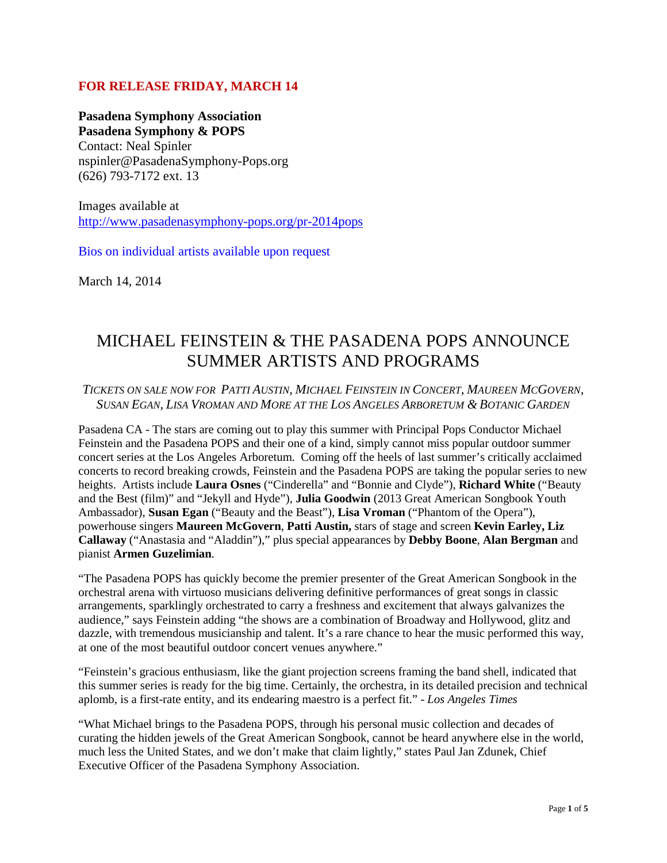## **FOR RELEASE FRIDAY, MARCH 14**

**Pasadena Symphony Association Pasadena Symphony & POPS** Contact: Neal Spinler nspinler@PasadenaSymphony-Pops.org (626) 793-7172 ext. 13

Images available at <http://www.pasadenasymphony-pops.org/pr-2014pops>

Bios on individual artists available upon request

March 14, 2014

# MICHAEL FEINSTEIN & THE PASADENA POPS ANNOUNCE SUMMER ARTISTS AND PROGRAMS

*TICKETS ON SALE NOW FOR PATTI AUSTIN, MICHAEL FEINSTEIN IN CONCERT, MAUREEN MCGOVERN, SUSAN EGAN, LISA VROMAN AND MORE AT THE LOS ANGELES ARBORETUM & BOTANIC GARDEN*

Pasadena CA - The stars are coming out to play this summer with Principal Pops Conductor Michael Feinstein and the Pasadena POPS and their one of a kind, simply cannot miss popular outdoor summer concert series at the Los Angeles Arboretum. Coming off the heels of last summer's critically acclaimed concerts to record breaking crowds, Feinstein and the Pasadena POPS are taking the popular series to new heights. Artists include **Laura Osnes** ("Cinderella" and "Bonnie and Clyde"), **Richard White** ("Beauty and the Best (film)" and "Jekyll and Hyde"), **Julia Goodwin** (2013 Great American Songbook Youth Ambassador), **Susan Egan** ("Beauty and the Beast"), **Lisa Vroman** ("Phantom of the Opera"), powerhouse singers **Maureen McGovern**, **Patti Austin,** stars of stage and screen **Kevin Earley, Liz Callaway** ("Anastasia and "Aladdin")," plus special appearances by **Debby Boone**, **Alan Bergman** and pianist **Armen Guzelimian**.

"The Pasadena POPS has quickly become the premier presenter of the Great American Songbook in the orchestral arena with virtuoso musicians delivering definitive performances of great songs in classic arrangements, sparklingly orchestrated to carry a freshness and excitement that always galvanizes the audience," says Feinstein adding "the shows are a combination of Broadway and Hollywood, glitz and dazzle, with tremendous musicianship and talent. It's a rare chance to hear the music performed this way, at one of the most beautiful outdoor concert venues anywhere."

"Feinstein's gracious enthusiasm, like the giant projection screens framing the band shell, indicated that this summer series is ready for the big time. Certainly, the orchestra, in its detailed precision and technical aplomb, is a first-rate entity, and its endearing maestro is a perfect fit." - *Los Angeles Times*

"What Michael brings to the Pasadena POPS, through his personal music collection and decades of curating the hidden jewels of the Great American Songbook, cannot be heard anywhere else in the world, much less the United States, and we don't make that claim lightly," states Paul Jan Zdunek, Chief Executive Officer of the Pasadena Symphony Association.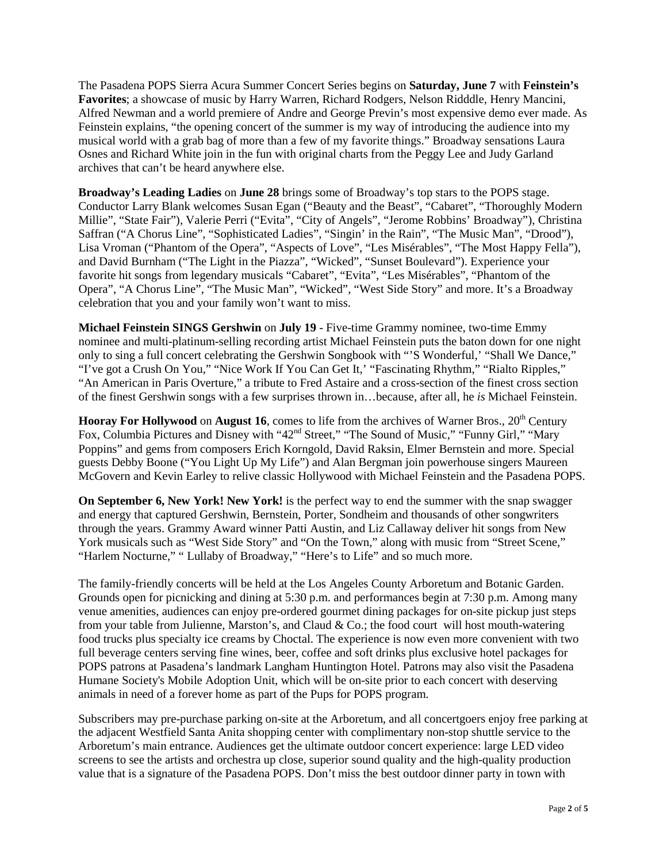The Pasadena POPS Sierra Acura Summer Concert Series begins on **Saturday, June 7** with **Feinstein's Favorites**; a showcase of music by Harry Warren, Richard Rodgers, Nelson Ridddle, Henry Mancini, Alfred Newman and a world premiere of Andre and George Previn's most expensive demo ever made. As Feinstein explains, "the opening concert of the summer is my way of introducing the audience into my musical world with a grab bag of more than a few of my favorite things." Broadway sensations Laura Osnes and Richard White join in the fun with original charts from the Peggy Lee and Judy Garland archives that can't be heard anywhere else.

**Broadway's Leading Ladies** on **June 28** brings some of Broadway's top stars to the POPS stage. Conductor Larry Blank welcomes Susan Egan ("Beauty and the Beast", "Cabaret", "Thoroughly Modern Millie", "State Fair"), Valerie Perri ("Evita", "City of Angels", "Jerome Robbins' Broadway"), Christina Saffran ("A Chorus Line", "Sophisticated Ladies", "Singin' in the Rain", "The Music Man", "Drood"), Lisa Vroman ("Phantom of the Opera", "Aspects of Love", "Les Misérables", "The Most Happy Fella"), and David Burnham ("The Light in the Piazza", "Wicked", "Sunset Boulevard"). Experience your favorite hit songs from legendary musicals "Cabaret", "Evita", "Les Misérables", "Phantom of the Opera", "A Chorus Line", "The Music Man", "Wicked", "West Side Story" and more. It's a Broadway celebration that you and your family won't want to miss.

**Michael Feinstein SINGS Gershwin** on **July 19** - Five-time Grammy nominee, two-time Emmy nominee and multi-platinum-selling recording artist Michael Feinstein puts the baton down for one night only to sing a full concert celebrating the Gershwin Songbook with "'S Wonderful,' "Shall We Dance," "I've got a Crush On You," "Nice Work If You Can Get It,' "Fascinating Rhythm," "Rialto Ripples," "An American in Paris Overture," a tribute to Fred Astaire and a cross-section of the finest cross section of the finest Gershwin songs with a few surprises thrown in…because, after all, he *is* Michael Feinstein.

**Hooray For Hollywood** on **August 16**, comes to life from the archives of Warner Bros., 20<sup>th</sup> Century Fox, Columbia Pictures and Disney with "42<sup>nd</sup> Street," "The Sound of Music," "Funny Girl," "Mary Poppins" and gems from composers Erich Korngold, David Raksin, Elmer Bernstein and more. Special guests Debby Boone ("You Light Up My Life") and Alan Bergman join powerhouse singers Maureen McGovern and Kevin Earley to relive classic Hollywood with Michael Feinstein and the Pasadena POPS.

**On September 6, New York! New York!** is the perfect way to end the summer with the snap swagger and energy that captured Gershwin, Bernstein, Porter, Sondheim and thousands of other songwriters through the years. Grammy Award winner Patti Austin, and Liz Callaway deliver hit songs from New York musicals such as "West Side Story" and "On the Town," along with music from "Street Scene," "Harlem Nocturne," " Lullaby of Broadway," "Here's to Life" and so much more.

The family-friendly concerts will be held at the Los Angeles County Arboretum and Botanic Garden. Grounds open for picnicking and dining at 5:30 p.m. and performances begin at 7:30 p.m. Among many venue amenities, audiences can enjoy pre-ordered gourmet dining packages for on-site pickup just steps from your table from Julienne, Marston's, and Claud & Co.; the food court will host mouth-watering food trucks plus specialty ice creams by Choctal. The experience is now even more convenient with two full beverage centers serving fine wines, beer, coffee and soft drinks plus exclusive hotel packages for POPS patrons at Pasadena's landmark Langham Huntington Hotel. Patrons may also visit the Pasadena Humane Society's Mobile Adoption Unit, which will be on-site prior to each concert with deserving animals in need of a forever home as part of the Pups for POPS program.

Subscribers may pre-purchase parking on-site at the Arboretum, and all concertgoers enjoy free parking at the adjacent Westfield Santa Anita shopping center with complimentary non-stop shuttle service to the Arboretum's main entrance. Audiences get the ultimate outdoor concert experience: large LED video screens to see the artists and orchestra up close, superior sound quality and the high-quality production value that is a signature of the Pasadena POPS. Don't miss the best outdoor dinner party in town with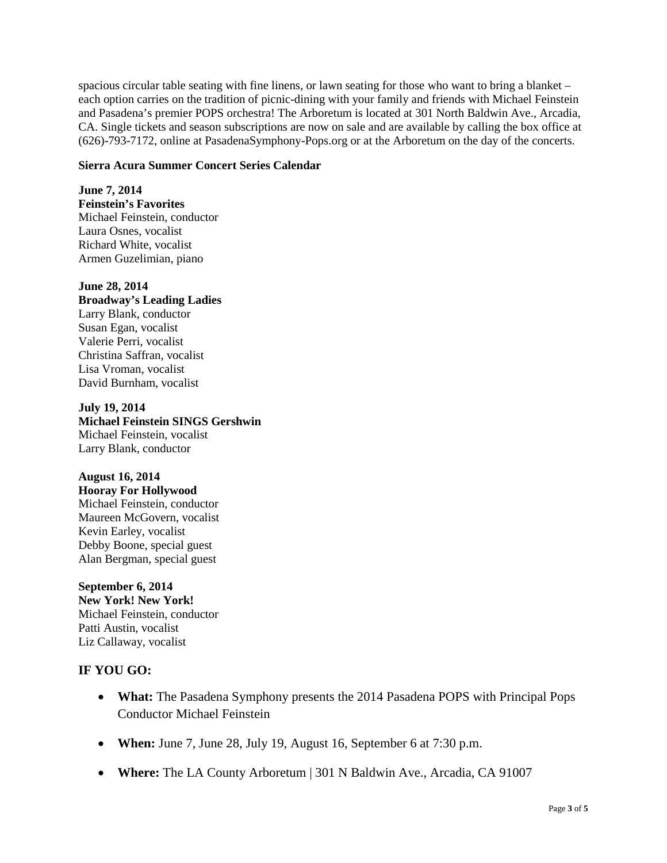spacious circular table seating with fine linens, or lawn seating for those who want to bring a blanket – each option carries on the tradition of picnic-dining with your family and friends with Michael Feinstein and Pasadena's premier POPS orchestra! The Arboretum is located at 301 North Baldwin Ave., Arcadia, CA. Single tickets and season subscriptions are now on sale and are available by calling the box office at (626)-793-7172, online at PasadenaSymphony-Pops.org or at the Arboretum on the day of the concerts.

#### **Sierra Acura Summer Concert Series Calendar**

**June 7, 2014 Feinstein's Favorites** Michael Feinstein, conductor Laura Osnes, vocalist Richard White, vocalist Armen Guzelimian, piano

#### **June 28, 2014 Broadway's Leading Ladies** Larry Blank, conductor Susan Egan, vocalist

Valerie Perri, vocalist Christina Saffran, vocalist Lisa Vroman, vocalist David Burnham, vocalist

#### **July 19, 2014 Michael Feinstein SINGS Gershwin** Michael Feinstein, vocalist Larry Blank, conductor

### **August 16, 2014**

**Hooray For Hollywood** Michael Feinstein, conductor Maureen McGovern, vocalist Kevin Earley, vocalist Debby Boone, special guest Alan Bergman, special guest

**September 6, 2014 New York! New York!** Michael Feinstein, conductor Patti Austin, vocalist Liz Callaway, vocalist

# **IF YOU GO:**

- **What:** The Pasadena Symphony presents the 2014 Pasadena POPS with Principal Pops Conductor Michael Feinstein
- **When:** June 7, June 28, July 19, August 16, September 6 at 7:30 p.m.
- **Where:** The LA County Arboretum | 301 N Baldwin Ave., Arcadia, CA 91007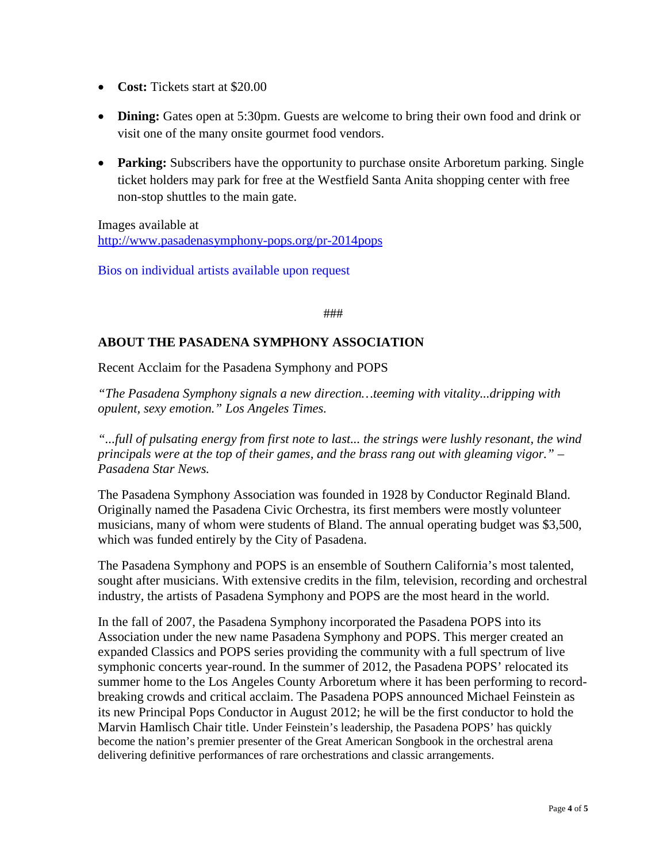- **Cost:** Tickets start at \$20.00
- **Dining:** Gates open at 5:30pm. Guests are welcome to bring their own food and drink or visit one of the many onsite gourmet food vendors.
- **Parking:** Subscribers have the opportunity to purchase onsite Arboretum parking. Single ticket holders may park for free at the Westfield Santa Anita shopping center with free non-stop shuttles to the main gate.

Images available at <http://www.pasadenasymphony-pops.org/pr-2014pops>

Bios on individual artists available upon request

###

# **ABOUT THE PASADENA SYMPHONY ASSOCIATION**

Recent Acclaim for the Pasadena Symphony and POPS

*"The Pasadena Symphony signals a new direction…teeming with vitality...dripping with opulent, sexy emotion." Los Angeles Times.* 

*"...full of pulsating energy from first note to last... the strings were lushly resonant, the wind principals were at the top of their games, and the brass rang out with gleaming vigor." – Pasadena Star News.*

The Pasadena Symphony Association was founded in 1928 by Conductor Reginald Bland. Originally named the Pasadena Civic Orchestra, its first members were mostly volunteer musicians, many of whom were students of Bland. The annual operating budget was \$3,500, which was funded entirely by the City of Pasadena.

The Pasadena Symphony and POPS is an ensemble of Southern California's most talented, sought after musicians. With extensive credits in the film, television, recording and orchestral industry, the artists of Pasadena Symphony and POPS are the most heard in the world.

In the fall of 2007, the Pasadena Symphony incorporated the Pasadena POPS into its Association under the new name Pasadena Symphony and POPS. This merger created an expanded Classics and POPS series providing the community with a full spectrum of live symphonic concerts year-round. In the summer of 2012, the Pasadena POPS' relocated its summer home to the Los Angeles County Arboretum where it has been performing to recordbreaking crowds and critical acclaim. The Pasadena POPS announced Michael Feinstein as its new Principal Pops Conductor in August 2012; he will be the first conductor to hold the Marvin Hamlisch Chair title. Under Feinstein's leadership, the Pasadena POPS' has quickly become the nation's premier presenter of the Great American Songbook in the orchestral arena delivering definitive performances of rare orchestrations and classic arrangements.